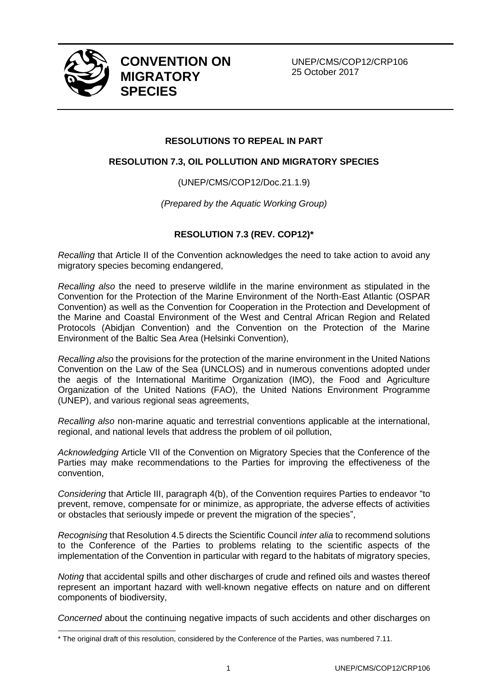

 $\overline{a}$ 

**CONVENTION ON MIGRATORY SPECIES**

UNEP/CMS/COP12/CRP106 25 October 2017

## **RESOLUTIONS TO REPEAL IN PART**

## **RESOLUTION 7.3, OIL POLLUTION AND MIGRATORY SPECIES**

(UNEP/CMS/COP12/Doc.21.1.9)

*(Prepared by the Aquatic Working Group)*

## **RESOLUTION 7.3 (REV. COP12)\***

*Recalling* that Article II of the Convention acknowledges the need to take action to avoid any migratory species becoming endangered,

*Recalling also* the need to preserve wildlife in the marine environment as stipulated in the Convention for the Protection of the Marine Environment of the North-East Atlantic (OSPAR Convention) as well as the Convention for Cooperation in the Protection and Development of the Marine and Coastal Environment of the West and Central African Region and Related Protocols (Abidjan Convention) and the Convention on the Protection of the Marine Environment of the Baltic Sea Area (Helsinki Convention),

*Recalling also* the provisions for the protection of the marine environment in the United Nations Convention on the Law of the Sea (UNCLOS) and in numerous conventions adopted under the aegis of the International Maritime Organization (IMO), the Food and Agriculture Organization of the United Nations (FAO), the United Nations Environment Programme (UNEP), and various regional seas agreements,

*Recalling also* non-marine aquatic and terrestrial conventions applicable at the international, regional, and national levels that address the problem of oil pollution,

*Acknowledging* Article VII of the Convention on Migratory Species that the Conference of the Parties may make recommendations to the Parties for improving the effectiveness of the convention,

*Considering* that Article III, paragraph 4(b), of the Convention requires Parties to endeavor "to prevent, remove, compensate for or minimize, as appropriate, the adverse effects of activities or obstacles that seriously impede or prevent the migration of the species",

*Recognising* that Resolution 4.5 directs the Scientific Council *inter alia* to recommend solutions to the Conference of the Parties to problems relating to the scientific aspects of the implementation of the Convention in particular with regard to the habitats of migratory species,

*Noting* that accidental spills and other discharges of crude and refined oils and wastes thereof represent an important hazard with well-known negative effects on nature and on different components of biodiversity,

*Concerned* about the continuing negative impacts of such accidents and other discharges on

<sup>\*</sup> The original draft of this resolution, considered by the Conference of the Parties, was numbered 7.11.